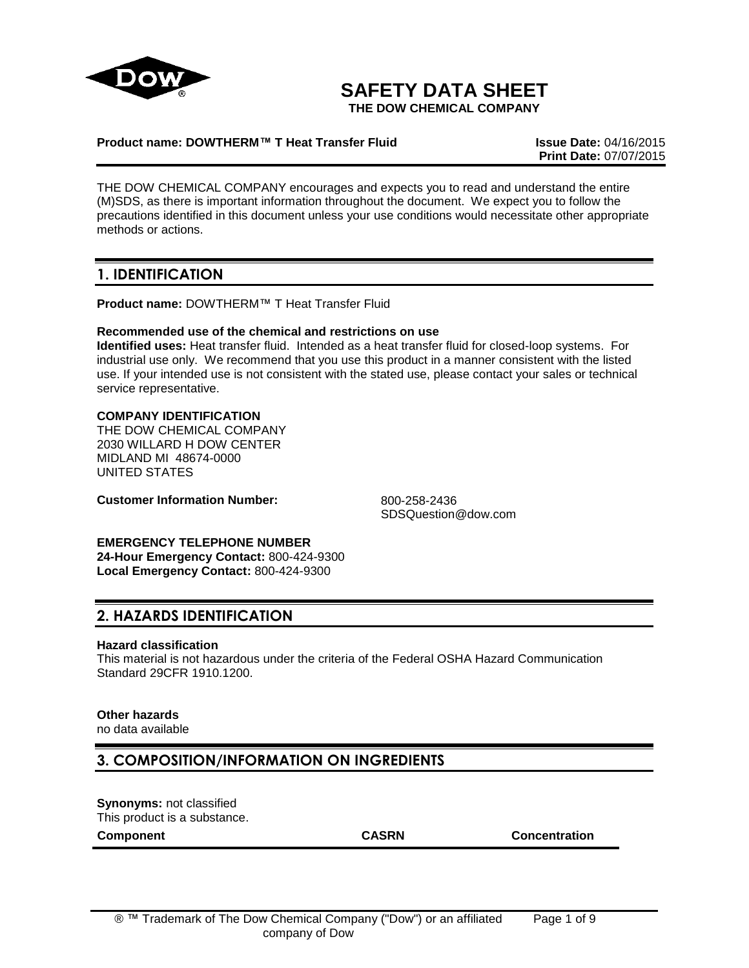

# **SAFETY DATA SHEET**

**THE DOW CHEMICAL COMPANY**

#### **Product name: DOWTHERM™ T Heat Transfer Fluid Issue Date:** 04/16/2015

**Print Date:** 07/07/2015

THE DOW CHEMICAL COMPANY encourages and expects you to read and understand the entire (M)SDS, as there is important information throughout the document. We expect you to follow the precautions identified in this document unless your use conditions would necessitate other appropriate methods or actions.

# **1. IDENTIFICATION**

**Product name:** DOWTHERM™ T Heat Transfer Fluid

#### **Recommended use of the chemical and restrictions on use**

**Identified uses:** Heat transfer fluid. Intended as a heat transfer fluid for closed-loop systems. For industrial use only. We recommend that you use this product in a manner consistent with the listed use. If your intended use is not consistent with the stated use, please contact your sales or technical service representative.

#### **COMPANY IDENTIFICATION**

THE DOW CHEMICAL COMPANY 2030 WILLARD H DOW CENTER MIDLAND MI 48674-0000 UNITED STATES

**Customer Information Number:** 800-258-2436

SDSQuestion@dow.com

**EMERGENCY TELEPHONE NUMBER 24-Hour Emergency Contact:** 800-424-9300 **Local Emergency Contact:** 800-424-9300

### **2. HAZARDS IDENTIFICATION**

#### **Hazard classification**

This material is not hazardous under the criteria of the Federal OSHA Hazard Communication Standard 29CFR 1910.1200.

### **Other hazards**

no data available

### **3. COMPOSITION/INFORMATION ON INGREDIENTS**

**Synonyms:** not classified This product is a substance. **Component CASRN Concentration**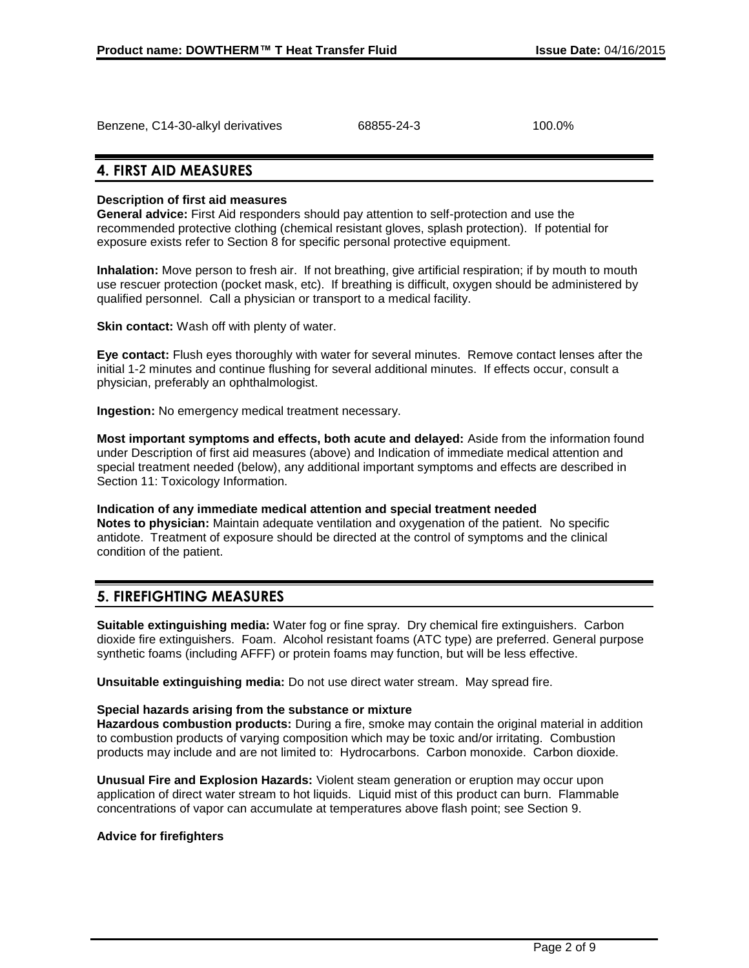| Benzene, C14-30-alkyl derivatives | 68855-24-3 | 100.0% |
|-----------------------------------|------------|--------|
|                                   |            |        |

## **4. FIRST AID MEASURES**

### **Description of first aid measures**

**General advice:** First Aid responders should pay attention to self-protection and use the recommended protective clothing (chemical resistant gloves, splash protection). If potential for exposure exists refer to Section 8 for specific personal protective equipment.

**Inhalation:** Move person to fresh air. If not breathing, give artificial respiration; if by mouth to mouth use rescuer protection (pocket mask, etc). If breathing is difficult, oxygen should be administered by qualified personnel. Call a physician or transport to a medical facility.

**Skin contact:** Wash off with plenty of water.

**Eye contact:** Flush eyes thoroughly with water for several minutes. Remove contact lenses after the initial 1-2 minutes and continue flushing for several additional minutes. If effects occur, consult a physician, preferably an ophthalmologist.

**Ingestion:** No emergency medical treatment necessary.

**Most important symptoms and effects, both acute and delayed:** Aside from the information found under Description of first aid measures (above) and Indication of immediate medical attention and special treatment needed (below), any additional important symptoms and effects are described in Section 11: Toxicology Information.

**Indication of any immediate medical attention and special treatment needed Notes to physician:** Maintain adequate ventilation and oxygenation of the patient. No specific antidote. Treatment of exposure should be directed at the control of symptoms and the clinical condition of the patient.

## **5. FIREFIGHTING MEASURES**

**Suitable extinguishing media:** Water fog or fine spray. Dry chemical fire extinguishers. Carbon dioxide fire extinguishers. Foam. Alcohol resistant foams (ATC type) are preferred. General purpose synthetic foams (including AFFF) or protein foams may function, but will be less effective.

**Unsuitable extinguishing media:** Do not use direct water stream. May spread fire.

#### **Special hazards arising from the substance or mixture**

**Hazardous combustion products:** During a fire, smoke may contain the original material in addition to combustion products of varying composition which may be toxic and/or irritating. Combustion products may include and are not limited to: Hydrocarbons. Carbon monoxide. Carbon dioxide.

**Unusual Fire and Explosion Hazards:** Violent steam generation or eruption may occur upon application of direct water stream to hot liquids. Liquid mist of this product can burn. Flammable concentrations of vapor can accumulate at temperatures above flash point; see Section 9.

#### **Advice for firefighters**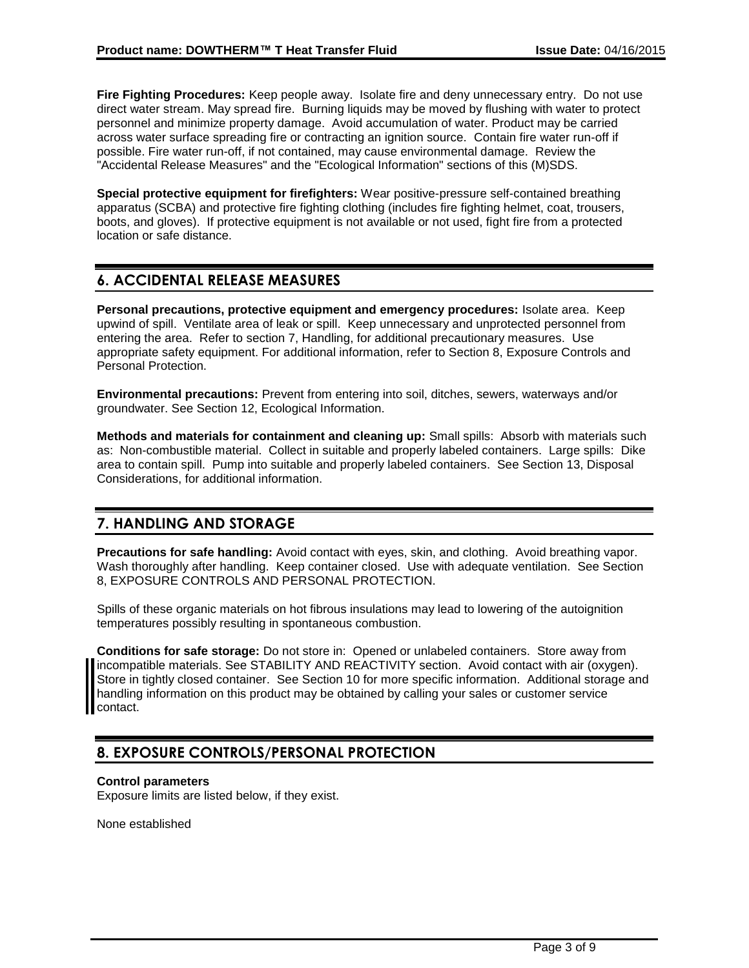**Fire Fighting Procedures:** Keep people away. Isolate fire and deny unnecessary entry. Do not use direct water stream. May spread fire. Burning liquids may be moved by flushing with water to protect personnel and minimize property damage. Avoid accumulation of water. Product may be carried across water surface spreading fire or contracting an ignition source. Contain fire water run-off if possible. Fire water run-off, if not contained, may cause environmental damage. Review the "Accidental Release Measures" and the "Ecological Information" sections of this (M)SDS.

**Special protective equipment for firefighters:** Wear positive-pressure self-contained breathing apparatus (SCBA) and protective fire fighting clothing (includes fire fighting helmet, coat, trousers, boots, and gloves). If protective equipment is not available or not used, fight fire from a protected location or safe distance.

# **6. ACCIDENTAL RELEASE MEASURES**

**Personal precautions, protective equipment and emergency procedures:** Isolate area. Keep upwind of spill. Ventilate area of leak or spill. Keep unnecessary and unprotected personnel from entering the area. Refer to section 7, Handling, for additional precautionary measures. Use appropriate safety equipment. For additional information, refer to Section 8, Exposure Controls and Personal Protection.

**Environmental precautions:** Prevent from entering into soil, ditches, sewers, waterways and/or groundwater. See Section 12, Ecological Information.

**Methods and materials for containment and cleaning up:** Small spills: Absorb with materials such as: Non-combustible material. Collect in suitable and properly labeled containers. Large spills: Dike area to contain spill. Pump into suitable and properly labeled containers. See Section 13, Disposal Considerations, for additional information.

# **7. HANDLING AND STORAGE**

**Precautions for safe handling:** Avoid contact with eyes, skin, and clothing. Avoid breathing vapor. Wash thoroughly after handling. Keep container closed. Use with adequate ventilation. See Section 8, EXPOSURE CONTROLS AND PERSONAL PROTECTION.

Spills of these organic materials on hot fibrous insulations may lead to lowering of the autoignition temperatures possibly resulting in spontaneous combustion.

**Conditions for safe storage:** Do not store in: Opened or unlabeled containers. Store away from incompatible materials. See STABILITY AND REACTIVITY section. Avoid contact with air (oxygen). Store in tightly closed container. See Section 10 for more specific information. Additional storage and handling information on this product may be obtained by calling your sales or customer service contact.

# **8. EXPOSURE CONTROLS/PERSONAL PROTECTION**

### **Control parameters**

Exposure limits are listed below, if they exist.

None established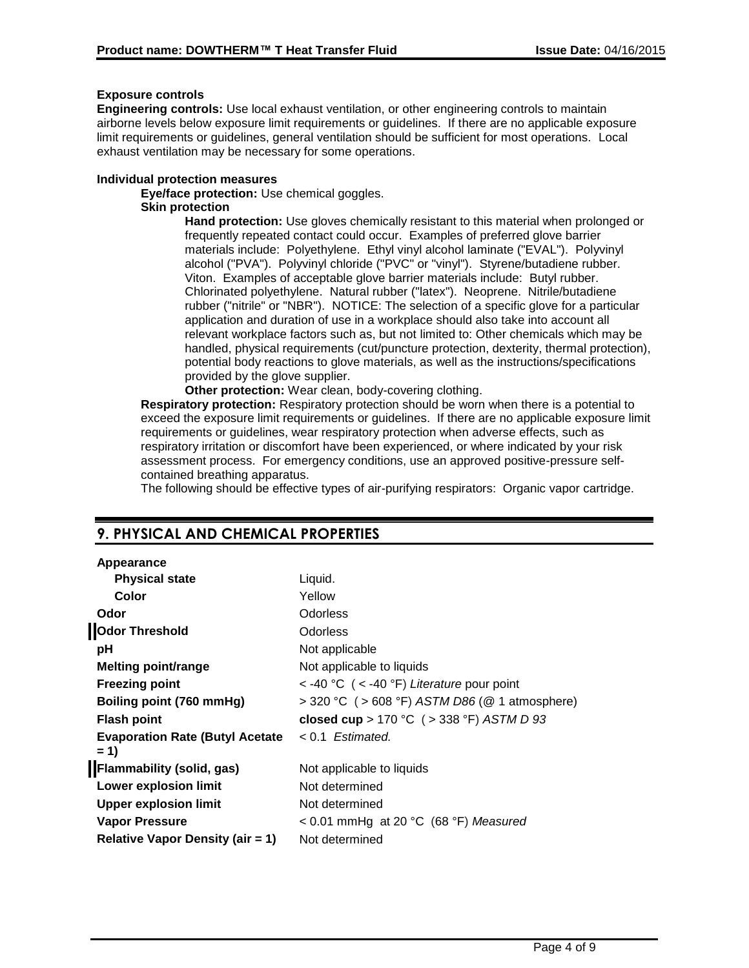### **Exposure controls**

**Engineering controls:** Use local exhaust ventilation, or other engineering controls to maintain airborne levels below exposure limit requirements or guidelines. If there are no applicable exposure limit requirements or guidelines, general ventilation should be sufficient for most operations. Local exhaust ventilation may be necessary for some operations.

#### **Individual protection measures**

**Eye/face protection:** Use chemical goggles.

#### **Skin protection**

**Hand protection:** Use gloves chemically resistant to this material when prolonged or frequently repeated contact could occur. Examples of preferred glove barrier materials include: Polyethylene. Ethyl vinyl alcohol laminate ("EVAL"). Polyvinyl alcohol ("PVA"). Polyvinyl chloride ("PVC" or "vinyl"). Styrene/butadiene rubber. Viton. Examples of acceptable glove barrier materials include: Butyl rubber. Chlorinated polyethylene. Natural rubber ("latex"). Neoprene. Nitrile/butadiene rubber ("nitrile" or "NBR"). NOTICE: The selection of a specific glove for a particular application and duration of use in a workplace should also take into account all relevant workplace factors such as, but not limited to: Other chemicals which may be handled, physical requirements (cut/puncture protection, dexterity, thermal protection), potential body reactions to glove materials, as well as the instructions/specifications provided by the glove supplier.

**Other protection:** Wear clean, body-covering clothing.

**Respiratory protection:** Respiratory protection should be worn when there is a potential to exceed the exposure limit requirements or guidelines. If there are no applicable exposure limit requirements or guidelines, wear respiratory protection when adverse effects, such as respiratory irritation or discomfort have been experienced, or where indicated by your risk assessment process. For emergency conditions, use an approved positive-pressure selfcontained breathing apparatus.

The following should be effective types of air-purifying respirators: Organic vapor cartridge.

## **9. PHYSICAL AND CHEMICAL PROPERTIES**

### **Appearance**

| Liquid.                                           |
|---------------------------------------------------|
| Yellow                                            |
| Odorless                                          |
| <b>Odorless</b>                                   |
| Not applicable                                    |
| Not applicable to liquids                         |
| $<$ -40 °C ( $<$ -40 °F) Literature pour point    |
| > 320 °C ( > 608 °F) ASTM D86 ( $@$ 1 atmosphere) |
| closed cup > 170 °C ( > 338 °F) ASTM D 93         |
| $< 0.1$ Estimated.                                |
|                                                   |
| Not applicable to liquids                         |
| Not determined                                    |
| Not determined                                    |
| < 0.01 mmHg at 20 °C (68 °F) Measured             |
| Not determined                                    |
|                                                   |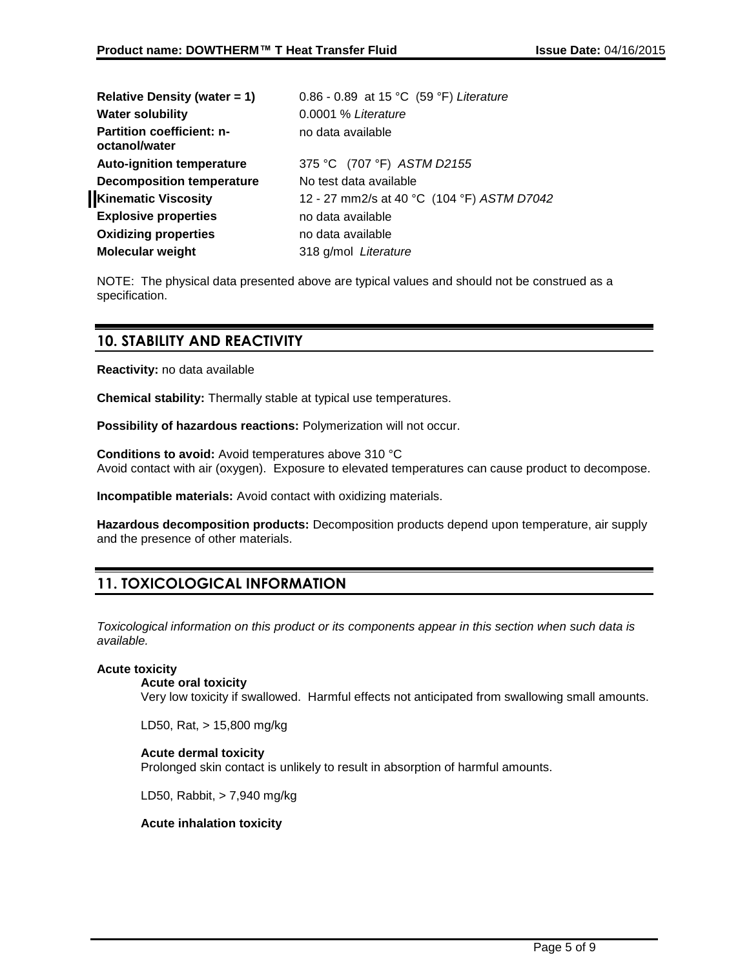| <b>Water solubility</b><br>0.0001 % Literature<br><b>Partition coefficient: n-</b><br>no data available<br>octanol/water<br>375 °C (707 °F) ASTM D2155<br><b>Auto-ignition temperature</b><br><b>Decomposition temperature</b><br>No test data available<br>12 - 27 mm2/s at 40 °C (104 °F) ASTM D7042<br><b>Explosive properties</b><br>no data available<br>no data available<br><b>Molecular weight</b><br>318 g/mol Literature | Relative Density (water $= 1$ ) | 0.86 - 0.89 at 15 °C (59 °F) Literature |  |
|------------------------------------------------------------------------------------------------------------------------------------------------------------------------------------------------------------------------------------------------------------------------------------------------------------------------------------------------------------------------------------------------------------------------------------|---------------------------------|-----------------------------------------|--|
|                                                                                                                                                                                                                                                                                                                                                                                                                                    |                                 |                                         |  |
|                                                                                                                                                                                                                                                                                                                                                                                                                                    |                                 |                                         |  |
|                                                                                                                                                                                                                                                                                                                                                                                                                                    |                                 |                                         |  |
|                                                                                                                                                                                                                                                                                                                                                                                                                                    |                                 |                                         |  |
|                                                                                                                                                                                                                                                                                                                                                                                                                                    | <b>Kinematic Viscosity</b>      |                                         |  |
|                                                                                                                                                                                                                                                                                                                                                                                                                                    |                                 |                                         |  |
|                                                                                                                                                                                                                                                                                                                                                                                                                                    | <b>Oxidizing properties</b>     |                                         |  |
|                                                                                                                                                                                                                                                                                                                                                                                                                                    |                                 |                                         |  |

NOTE: The physical data presented above are typical values and should not be construed as a specification.

## **10. STABILITY AND REACTIVITY**

**Reactivity:** no data available

**Chemical stability:** Thermally stable at typical use temperatures.

**Possibility of hazardous reactions:** Polymerization will not occur.

**Conditions to avoid:** Avoid temperatures above 310 °C Avoid contact with air (oxygen). Exposure to elevated temperatures can cause product to decompose.

**Incompatible materials:** Avoid contact with oxidizing materials.

**Hazardous decomposition products:** Decomposition products depend upon temperature, air supply and the presence of other materials.

# **11. TOXICOLOGICAL INFORMATION**

*Toxicological information on this product or its components appear in this section when such data is available.*

#### **Acute toxicity**

#### **Acute oral toxicity**

Very low toxicity if swallowed. Harmful effects not anticipated from swallowing small amounts.

LD50, Rat, > 15,800 mg/kg

#### **Acute dermal toxicity**

Prolonged skin contact is unlikely to result in absorption of harmful amounts.

LD50, Rabbit, > 7,940 mg/kg

#### **Acute inhalation toxicity**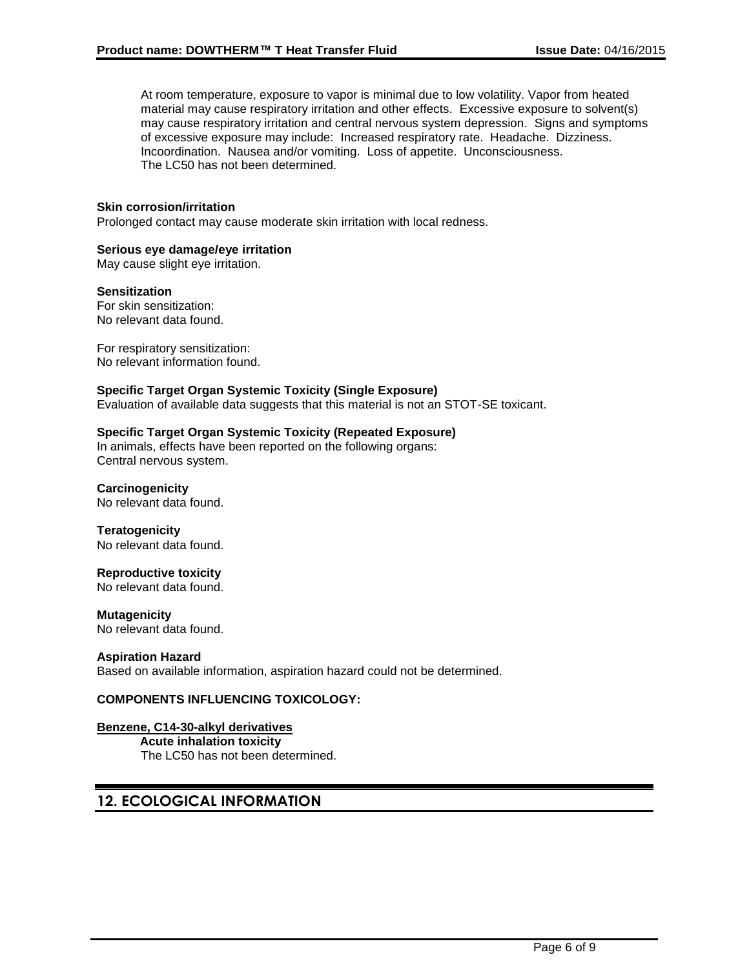At room temperature, exposure to vapor is minimal due to low volatility. Vapor from heated material may cause respiratory irritation and other effects. Excessive exposure to solvent(s) may cause respiratory irritation and central nervous system depression. Signs and symptoms of excessive exposure may include: Increased respiratory rate. Headache. Dizziness. Incoordination. Nausea and/or vomiting. Loss of appetite. Unconsciousness. The LC50 has not been determined.

#### **Skin corrosion/irritation**

Prolonged contact may cause moderate skin irritation with local redness.

#### **Serious eye damage/eye irritation**

May cause slight eye irritation.

#### **Sensitization**

For skin sensitization: No relevant data found.

For respiratory sensitization: No relevant information found.

#### **Specific Target Organ Systemic Toxicity (Single Exposure)**

Evaluation of available data suggests that this material is not an STOT-SE toxicant.

#### **Specific Target Organ Systemic Toxicity (Repeated Exposure)**

In animals, effects have been reported on the following organs: Central nervous system.

#### **Carcinogenicity**

No relevant data found.

**Teratogenicity** No relevant data found.

#### **Reproductive toxicity**

No relevant data found.

#### **Mutagenicity**

No relevant data found.

#### **Aspiration Hazard**

Based on available information, aspiration hazard could not be determined.

### **COMPONENTS INFLUENCING TOXICOLOGY:**

### **Benzene, C14-30-alkyl derivatives**

**Acute inhalation toxicity** The LC50 has not been determined.

## **12. ECOLOGICAL INFORMATION**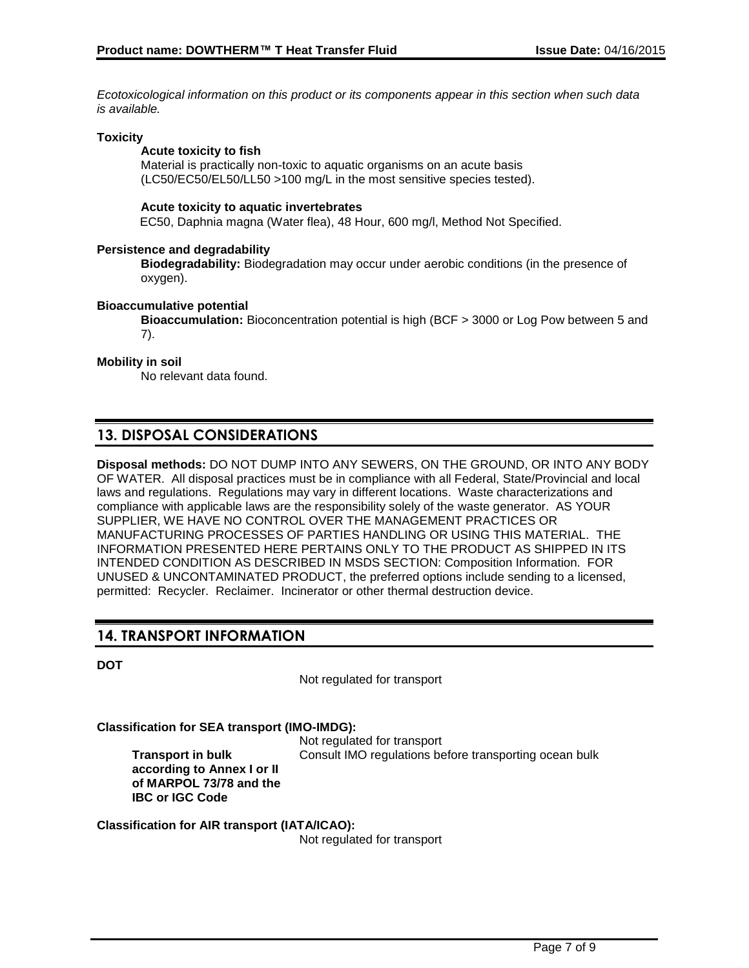*Ecotoxicological information on this product or its components appear in this section when such data is available.*

#### **Toxicity**

#### **Acute toxicity to fish**

Material is practically non-toxic to aquatic organisms on an acute basis (LC50/EC50/EL50/LL50 >100 mg/L in the most sensitive species tested).

#### **Acute toxicity to aquatic invertebrates**

EC50, Daphnia magna (Water flea), 48 Hour, 600 mg/l, Method Not Specified.

#### **Persistence and degradability**

**Biodegradability:** Biodegradation may occur under aerobic conditions (in the presence of oxygen).

#### **Bioaccumulative potential**

**Bioaccumulation:** Bioconcentration potential is high (BCF > 3000 or Log Pow between 5 and 7).

#### **Mobility in soil**

No relevant data found.

# **13. DISPOSAL CONSIDERATIONS**

**Disposal methods:** DO NOT DUMP INTO ANY SEWERS, ON THE GROUND, OR INTO ANY BODY OF WATER. All disposal practices must be in compliance with all Federal, State/Provincial and local laws and regulations. Regulations may vary in different locations. Waste characterizations and compliance with applicable laws are the responsibility solely of the waste generator. AS YOUR SUPPLIER, WE HAVE NO CONTROL OVER THE MANAGEMENT PRACTICES OR MANUFACTURING PROCESSES OF PARTIES HANDLING OR USING THIS MATERIAL. THE INFORMATION PRESENTED HERE PERTAINS ONLY TO THE PRODUCT AS SHIPPED IN ITS INTENDED CONDITION AS DESCRIBED IN MSDS SECTION: Composition Information. FOR UNUSED & UNCONTAMINATED PRODUCT, the preferred options include sending to a licensed, permitted: Recycler. Reclaimer. Incinerator or other thermal destruction device.

## **14. TRANSPORT INFORMATION**

| ٠<br>٦<br>×<br>v |  |
|------------------|--|

Not regulated for transport

**Classification for SEA transport (IMO-IMDG):**

**Transport in bulk according to Annex I or II of MARPOL 73/78 and the IBC or IGC Code**

Not regulated for transport Consult IMO regulations before transporting ocean bulk

**Classification for AIR transport (IATA/ICAO):**

Not regulated for transport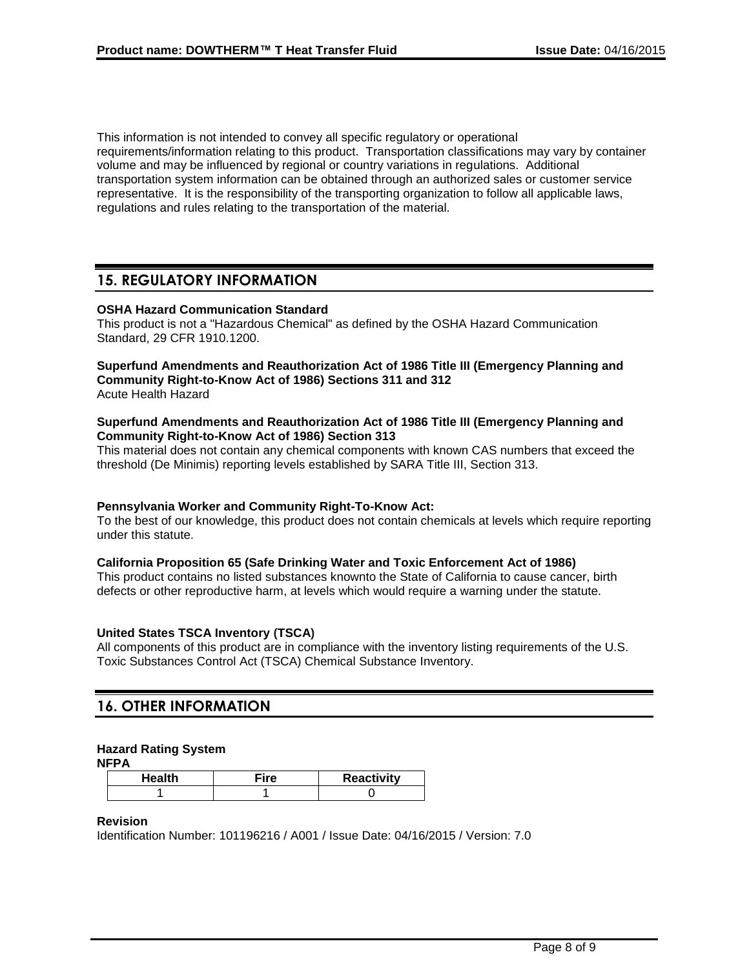This information is not intended to convey all specific regulatory or operational requirements/information relating to this product. Transportation classifications may vary by container volume and may be influenced by regional or country variations in regulations. Additional transportation system information can be obtained through an authorized sales or customer service representative. It is the responsibility of the transporting organization to follow all applicable laws, regulations and rules relating to the transportation of the material.

## **15. REGULATORY INFORMATION**

#### **OSHA Hazard Communication Standard**

This product is not a "Hazardous Chemical" as defined by the OSHA Hazard Communication Standard, 29 CFR 1910.1200.

# **Superfund Amendments and Reauthorization Act of 1986 Title III (Emergency Planning and Community Right-to-Know Act of 1986) Sections 311 and 312**

Acute Health Hazard

#### **Superfund Amendments and Reauthorization Act of 1986 Title III (Emergency Planning and Community Right-to-Know Act of 1986) Section 313**

This material does not contain any chemical components with known CAS numbers that exceed the threshold (De Minimis) reporting levels established by SARA Title III, Section 313.

#### **Pennsylvania Worker and Community Right-To-Know Act:**

To the best of our knowledge, this product does not contain chemicals at levels which require reporting under this statute.

#### **California Proposition 65 (Safe Drinking Water and Toxic Enforcement Act of 1986)**

This product contains no listed substances knownto the State of California to cause cancer, birth defects or other reproductive harm, at levels which would require a warning under the statute.

### **United States TSCA Inventory (TSCA)**

All components of this product are in compliance with the inventory listing requirements of the U.S. Toxic Substances Control Act (TSCA) Chemical Substance Inventory.

# **16. OTHER INFORMATION**

### **Hazard Rating System**

**NFPA**

| Health | ≂ire | <b>Reactivity</b> |
|--------|------|-------------------|
|        |      |                   |

#### **Revision**

Identification Number: 101196216 / A001 / Issue Date: 04/16/2015 / Version: 7.0